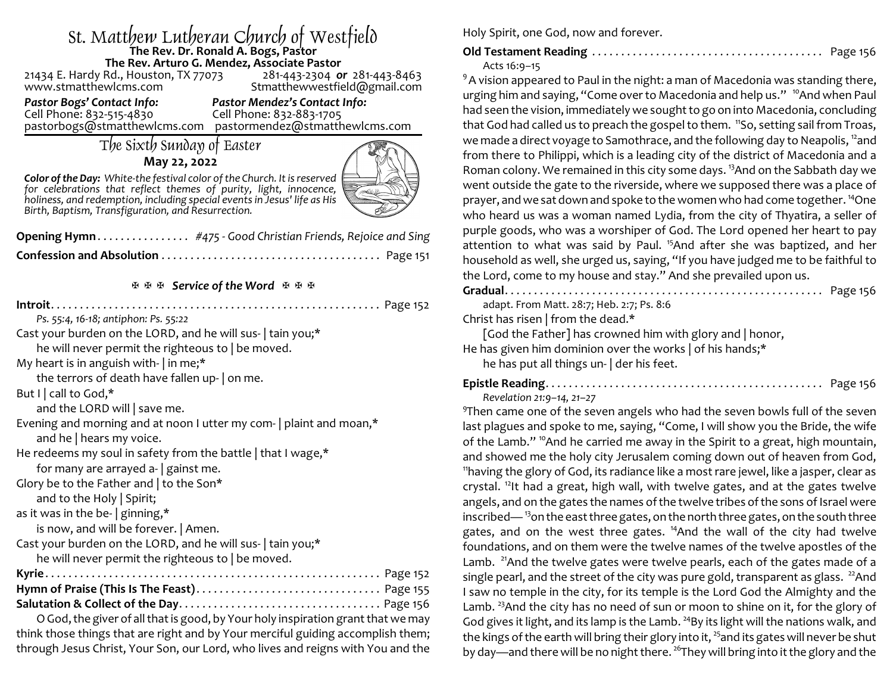## St. Matthew Lutheran Church of Westfield **The Rev. Dr. Ronald A. Bogs, Pastor The Rev. Arturo G. Mendez, Associate Pastor**

21434 E. Hardy Rd., Houston, TX 77073<br>www.stmatthewlcms.com

Stmatthewwestfield@gmail.com

*Pastor Bogs' Contact Info: Pastor Mendez's Contact Info:* Cell Phone: 832-883-1705

pastorbogs@stmatthewlcms.com pastormendez@stmatthewlcms.com

## The Sixth Sunday of Easter

### **May 22, 2022**



*Color of the Day: White-the festival color of the Church. It isreserved for celebrations that reflect themes of purity, light, innocence, holiness, and redemption, including special eventsin Jesus' life as His Birth, Baptism, Transfiguration, and Resurrection.* 

| $\sim$ |
|--------|
|        |
|        |

田田田 Service of the Word 田田田

think those things that are right and by Your merciful guiding accomplish them; through Jesus Christ, Your Son, our Lord, who lives and reigns with You and the Holy Spirit, one God, now and forever.

# **Old Testament Reading** . . . . . . . . . . . . . . . . . . . . . . . . . . . . . . . . . . . . . . . . Page 156

Acts 16:9–15

 $9A$  vision appeared to Paul in the night: a man of Macedonia was standing there, urging him and saying, "Come over to Macedonia and help us." <sup>10</sup>And when Paul had seen the vision, immediately we sought to go on into Macedonia, concluding that God had called us to preach the gospel to them. <sup>11</sup>So, setting sail from Troas, we made a direct voyage to Samothrace, and the following day to Neapolis,  $^{12}$ and from there to Philippi, which is a leading city of the district of Macedonia and a Roman colony. We remained in this city some days. <sup>13</sup>And on the Sabbath day we went outside the gate to the riverside, where we supposed there was a place of prayer, and we sat down and spoke to the women who had come together. <sup>14</sup>One who heard us was a woman named Lydia, from the city of Thyatira, a seller of purple goods, who was a worshiper of God. The Lord opened her heart to pay attention to what was said by Paul.<sup>15</sup>And after she was baptized, and her household as well, she urged us, saying, "If you have judged me to be faithful to the Lord, come to my house and stay." And she prevailed upon us.

| adapt. From Matt. 28:7; Heb. 2:7; Ps. 8:6                                                            |
|------------------------------------------------------------------------------------------------------|
| Christ has risen   from the dead.*                                                                   |
| [God the Father] has crowned him with glory and   honor,                                             |
| He has given him dominion over the works of his hands;*<br>he has put all things un-   der his feet. |
| Revelation 21:9-14, 21-27                                                                            |

 $9$ Then came one of the seven angels who had the seven bowls full of the seven last plagues and spoke to me, saying, "Come, I will show you the Bride, the wife of the Lamb." <sup>10</sup>And he carried me away in the Spirit to a great, high mountain, and showed me the holy city Jerusalem coming down out of heaven from God, 11 having the glory of God, its radiance like a most rare jewel, like a jasper, clear as crystal. <sup>12</sup>It had a great, high wall, with twelve gates, and at the gates twelve angels, and on the gates the names of the twelve tribes of the sons of Israel were inscribed—<sup>13</sup>on the east three gates, on the north three gates, on the south three gates, and on the west three gates. <sup>14</sup>And the wall of the city had twelve foundations, and on them were the twelve names of the twelve apostles of the Lamb. <sup>21</sup>And the twelve gates were twelve pearls, each of the gates made of a single pearl, and the street of the city was pure gold, transparent as glass.  $^{22}$ And I saw no temple in the city, for its temple is the Lord God the Almighty and the Lamb. <sup>23</sup>And the city has no need of sun or moon to shine on it, for the glory of God gives it light, and its lamp is the Lamb. <sup>24</sup>By its light will the nations walk, and the kings of the earth will bring their glory into it, <sup>25</sup>and its gates will never be shut by day—and there will be no night there. <sup>26</sup>They will bring into it the glory and the